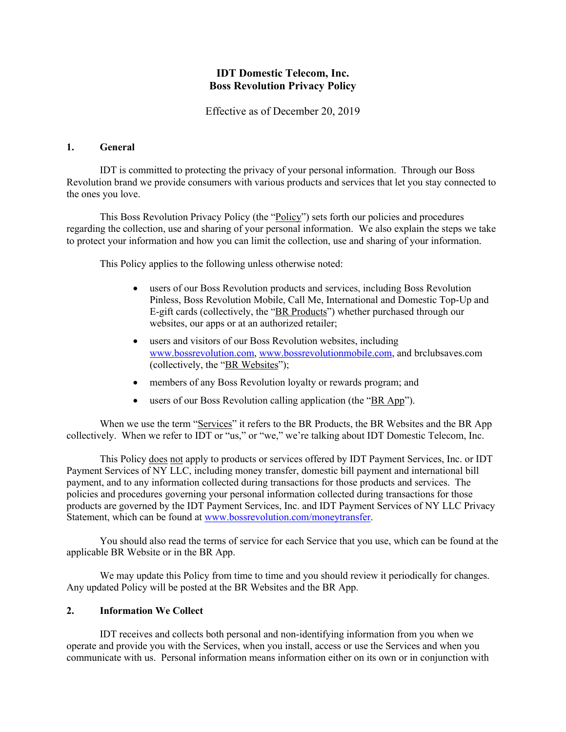## **IDT Domestic Telecom, Inc. Boss Revolution Privacy Policy**

Effective as of December 20, 2019

#### **1. General**

IDT is committed to protecting the privacy of your personal information. Through our Boss Revolution brand we provide consumers with various products and services that let you stay connected to the ones you love.

This Boss Revolution Privacy Policy (the "Policy") sets forth our policies and procedures regarding the collection, use and sharing of your personal information. We also explain the steps we take to protect your information and how you can limit the collection, use and sharing of your information.

This Policy applies to the following unless otherwise noted:

- users of our Boss Revolution products and services, including Boss Revolution Pinless, Boss Revolution Mobile, Call Me, International and Domestic Top-Up and E-gift cards (collectively, the "BR Products") whether purchased through our websites, our apps or at an authorized retailer;
- users and visitors of our Boss Revolution websites, including www.bossrevolution.com, www.bossrevolutionmobile.com, and brclubsaves.com (collectively, the "BR Websites");
- members of any Boss Revolution loyalty or rewards program; and
- users of our Boss Revolution calling application (the "BR App").

When we use the term "Services" it refers to the BR Products, the BR Websites and the BR App collectively. When we refer to IDT or "us," or "we," we're talking about IDT Domestic Telecom, Inc.

This Policy does not apply to products or services offered by IDT Payment Services, Inc. or IDT Payment Services of NY LLC, including money transfer, domestic bill payment and international bill payment, and to any information collected during transactions for those products and services. The policies and procedures governing your personal information collected during transactions for those products are governed by the IDT Payment Services, Inc. and IDT Payment Services of NY LLC Privacy Statement, which can be found at www.bossrevolution.com/moneytransfer.

You should also read the terms of service for each Service that you use, which can be found at the applicable BR Website or in the BR App.

We may update this Policy from time to time and you should review it periodically for changes. Any updated Policy will be posted at the BR Websites and the BR App.

#### **2. Information We Collect**

IDT receives and collects both personal and non-identifying information from you when we operate and provide you with the Services, when you install, access or use the Services and when you communicate with us. Personal information means information either on its own or in conjunction with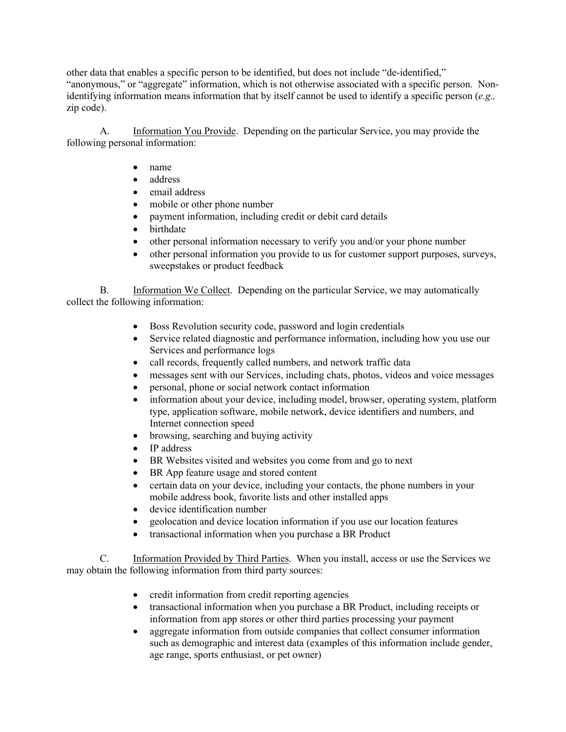other data that enables a specific person to be identified, but does not include "de-identified," "anonymous," or "aggregate" information, which is not otherwise associated with a specific person. Nonidentifying information means information that by itself cannot be used to identify a specific person (*e.g.,* zip code).

A. Information You Provide. Depending on the particular Service, you may provide the following personal information:

- name
- address
- email address
- mobile or other phone number
- payment information, including credit or debit card details
- birthdate
- other personal information necessary to verify you and/or your phone number
- other personal information you provide to us for customer support purposes, surveys, sweepstakes or product feedback

B. Information We Collect. Depending on the particular Service, we may automatically collect the following information:

- Boss Revolution security code, password and login credentials
- Service related diagnostic and performance information, including how you use our Services and performance logs
- call records, frequently called numbers, and network traffic data
- messages sent with our Services, including chats, photos, videos and voice messages
- personal, phone or social network contact information
- information about your device, including model, browser, operating system, platform type, application software, mobile network, device identifiers and numbers, and Internet connection speed
- browsing, searching and buying activity
- IP address
- BR Websites visited and websites you come from and go to next
- BR App feature usage and stored content
- certain data on your device, including your contacts, the phone numbers in your mobile address book, favorite lists and other installed apps
- device identification number
- geolocation and device location information if you use our location features
- transactional information when you purchase a BR Product

C. Information Provided by Third Parties. When you install, access or use the Services we may obtain the following information from third party sources:

- credit information from credit reporting agencies
- transactional information when you purchase a BR Product, including receipts or information from app stores or other third parties processing your payment
- aggregate information from outside companies that collect consumer information such as demographic and interest data (examples of this information include gender, age range, sports enthusiast, or pet owner)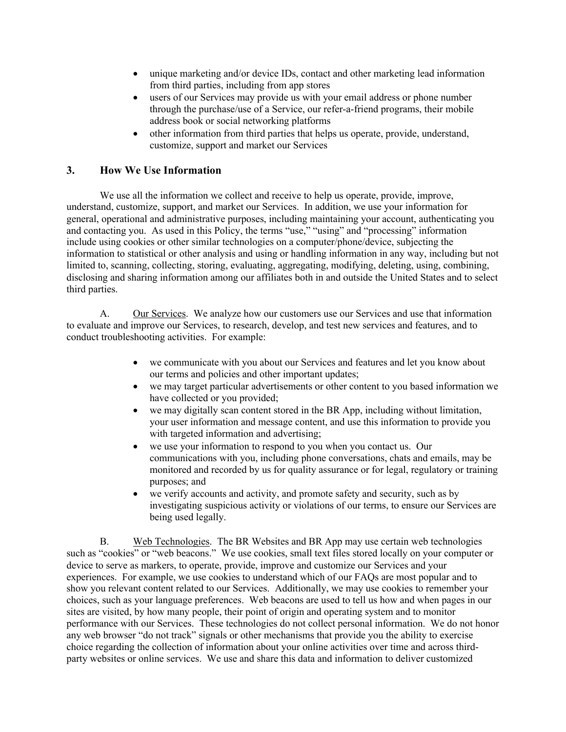- unique marketing and/or device IDs, contact and other marketing lead information from third parties, including from app stores
- users of our Services may provide us with your email address or phone number through the purchase/use of a Service, our refer-a-friend programs, their mobile address book or social networking platforms
- other information from third parties that helps us operate, provide, understand, customize, support and market our Services

## **3. How We Use Information**

We use all the information we collect and receive to help us operate, provide, improve, understand, customize, support, and market our Services. In addition, we use your information for general, operational and administrative purposes, including maintaining your account, authenticating you and contacting you. As used in this Policy, the terms "use," "using" and "processing" information include using cookies or other similar technologies on a computer/phone/device, subjecting the information to statistical or other analysis and using or handling information in any way, including but not limited to, scanning, collecting, storing, evaluating, aggregating, modifying, deleting, using, combining, disclosing and sharing information among our affiliates both in and outside the United States and to select third parties.

A. Our Services. We analyze how our customers use our Services and use that information to evaluate and improve our Services, to research, develop, and test new services and features, and to conduct troubleshooting activities. For example:

- we communicate with you about our Services and features and let you know about our terms and policies and other important updates;
- we may target particular advertisements or other content to you based information we have collected or you provided;
- we may digitally scan content stored in the BR App, including without limitation, your user information and message content, and use this information to provide you with targeted information and advertising;
- we use your information to respond to you when you contact us. Our communications with you, including phone conversations, chats and emails, may be monitored and recorded by us for quality assurance or for legal, regulatory or training purposes; and
- we verify accounts and activity, and promote safety and security, such as by investigating suspicious activity or violations of our terms, to ensure our Services are being used legally.

B. Web Technologies. The BR Websites and BR App may use certain web technologies such as "cookies" or "web beacons." We use cookies, small text files stored locally on your computer or device to serve as markers, to operate, provide, improve and customize our Services and your experiences. For example, we use cookies to understand which of our FAQs are most popular and to show you relevant content related to our Services. Additionally, we may use cookies to remember your choices, such as your language preferences. Web beacons are used to tell us how and when pages in our sites are visited, by how many people, their point of origin and operating system and to monitor performance with our Services. These technologies do not collect personal information. We do not honor any web browser "do not track" signals or other mechanisms that provide you the ability to exercise choice regarding the collection of information about your online activities over time and across thirdparty websites or online services. We use and share this data and information to deliver customized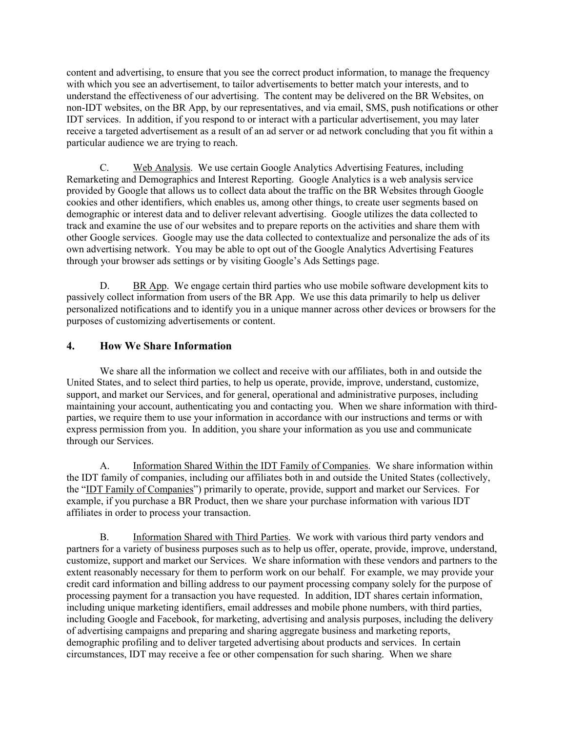content and advertising, to ensure that you see the correct product information, to manage the frequency with which you see an advertisement, to tailor advertisements to better match your interests, and to understand the effectiveness of our advertising. The content may be delivered on the BR Websites, on non-IDT websites, on the BR App, by our representatives, and via email, SMS, push notifications or other IDT services. In addition, if you respond to or interact with a particular advertisement, you may later receive a targeted advertisement as a result of an ad server or ad network concluding that you fit within a particular audience we are trying to reach.

C. Web Analysis. We use certain Google Analytics Advertising Features, including Remarketing and Demographics and Interest Reporting. Google Analytics is a web analysis service provided by Google that allows us to collect data about the traffic on the BR Websites through Google cookies and other identifiers, which enables us, among other things, to create user segments based on demographic or interest data and to deliver relevant advertising. Google utilizes the data collected to track and examine the use of our websites and to prepare reports on the activities and share them with other Google services. Google may use the data collected to contextualize and personalize the ads of its own advertising network. You may be able to opt out of the Google Analytics Advertising Features through your browser ads settings or by visiting Google's Ads Settings page.

D. BR App. We engage certain third parties who use mobile software development kits to passively collect information from users of the BR App. We use this data primarily to help us deliver personalized notifications and to identify you in a unique manner across other devices or browsers for the purposes of customizing advertisements or content.

## **4. How We Share Information**

We share all the information we collect and receive with our affiliates, both in and outside the United States, and to select third parties, to help us operate, provide, improve, understand, customize, support, and market our Services, and for general, operational and administrative purposes, including maintaining your account, authenticating you and contacting you. When we share information with thirdparties, we require them to use your information in accordance with our instructions and terms or with express permission from you. In addition, you share your information as you use and communicate through our Services.

A. Information Shared Within the IDT Family of Companies. We share information within the IDT family of companies, including our affiliates both in and outside the United States (collectively, the "IDT Family of Companies") primarily to operate, provide, support and market our Services. For example, if you purchase a BR Product, then we share your purchase information with various IDT affiliates in order to process your transaction.

B. Information Shared with Third Parties. We work with various third party vendors and partners for a variety of business purposes such as to help us offer, operate, provide, improve, understand, customize, support and market our Services. We share information with these vendors and partners to the extent reasonably necessary for them to perform work on our behalf. For example, we may provide your credit card information and billing address to our payment processing company solely for the purpose of processing payment for a transaction you have requested. In addition, IDT shares certain information, including unique marketing identifiers, email addresses and mobile phone numbers, with third parties, including Google and Facebook, for marketing, advertising and analysis purposes, including the delivery of advertising campaigns and preparing and sharing aggregate business and marketing reports, demographic profiling and to deliver targeted advertising about products and services. In certain circumstances, IDT may receive a fee or other compensation for such sharing. When we share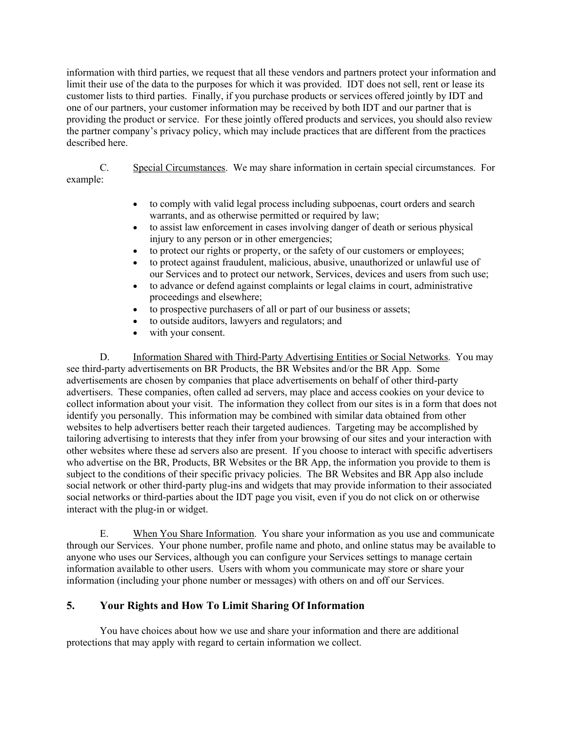information with third parties, we request that all these vendors and partners protect your information and limit their use of the data to the purposes for which it was provided. IDT does not sell, rent or lease its customer lists to third parties. Finally, if you purchase products or services offered jointly by IDT and one of our partners, your customer information may be received by both IDT and our partner that is providing the product or service. For these jointly offered products and services, you should also review the partner company's privacy policy, which may include practices that are different from the practices described here.

C. Special Circumstances. We may share information in certain special circumstances. For example:

- to comply with valid legal process including subpoenas, court orders and search warrants, and as otherwise permitted or required by law;
- to assist law enforcement in cases involving danger of death or serious physical injury to any person or in other emergencies;
- to protect our rights or property, or the safety of our customers or employees;
- to protect against fraudulent, malicious, abusive, unauthorized or unlawful use of our Services and to protect our network, Services, devices and users from such use;
- to advance or defend against complaints or legal claims in court, administrative proceedings and elsewhere;
- to prospective purchasers of all or part of our business or assets;
- to outside auditors, lawyers and regulators; and
- with your consent.

D. **Information Shared with Third-Party Advertising Entities or Social Networks**. You may see third-party advertisements on BR Products, the BR Websites and/or the BR App. Some advertisements are chosen by companies that place advertisements on behalf of other third-party advertisers. These companies, often called ad servers, may place and access cookies on your device to collect information about your visit. The information they collect from our sites is in a form that does not identify you personally. This information may be combined with similar data obtained from other websites to help advertisers better reach their targeted audiences. Targeting may be accomplished by tailoring advertising to interests that they infer from your browsing of our sites and your interaction with other websites where these ad servers also are present. If you choose to interact with specific advertisers who advertise on the BR, Products, BR Websites or the BR App, the information you provide to them is subject to the conditions of their specific privacy policies. The BR Websites and BR App also include social network or other third-party plug-ins and widgets that may provide information to their associated social networks or third-parties about the IDT page you visit, even if you do not click on or otherwise interact with the plug-in or widget.

E. When You Share Information. You share your information as you use and communicate through our Services. Your phone number, profile name and photo, and online status may be available to anyone who uses our Services, although you can configure your Services settings to manage certain information available to other users. Users with whom you communicate may store or share your information (including your phone number or messages) with others on and off our Services.

# **5. Your Rights and How To Limit Sharing Of Information**

You have choices about how we use and share your information and there are additional protections that may apply with regard to certain information we collect.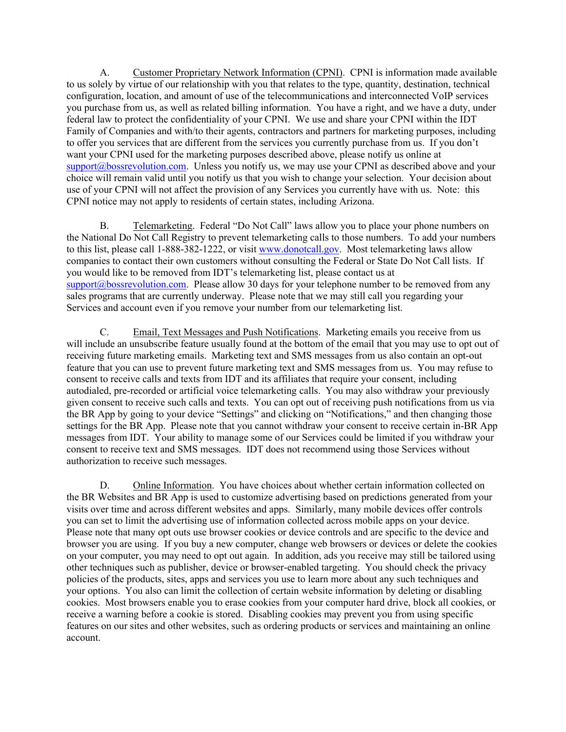A. Customer Proprietary Network Information (CPNI). CPNI is information made available to us solely by virtue of our relationship with you that relates to the type, quantity, destination, technical configuration, location, and amount of use of the telecommunications and interconnected VoIP services you purchase from us, as well as related billing information. You have a right, and we have a duty, under federal law to protect the confidentiality of your CPNI. We use and share your CPNI within the IDT Family of Companies and with/to their agents, contractors and partners for marketing purposes, including to offer you services that are different from the services you currently purchase from us. If you don't want your CPNI used for the marketing purposes described above, please notify us online at support@bossrevolution.com. Unless you notify us, we may use your CPNI as described above and your choice will remain valid until you notify us that you wish to change your selection. Your decision about use of your CPNI will not affect the provision of any Services you currently have with us. Note: this CPNI notice may not apply to residents of certain states, including Arizona.

B. Telemarketing. Federal "Do Not Call" laws allow you to place your phone numbers on the National Do Not Call Registry to prevent telemarketing calls to those numbers. To add your numbers to this list, please call 1-888-382-1222, or visit www.donotcall.gov. Most telemarketing laws allow companies to contact their own customers without consulting the Federal or State Do Not Call lists. If you would like to be removed from IDT's telemarketing list, please contact us at  $\frac{\text{support}(a) \text{lossrevolution.com}}{\text{P}}$ . Please allow 30 days for your telephone number to be removed from any sales programs that are currently underway. Please note that we may still call you regarding your Services and account even if you remove your number from our telemarketing list.

C. Email, Text Messages and Push Notifications. Marketing emails you receive from us will include an unsubscribe feature usually found at the bottom of the email that you may use to opt out of receiving future marketing emails. Marketing text and SMS messages from us also contain an opt-out feature that you can use to prevent future marketing text and SMS messages from us. You may refuse to consent to receive calls and texts from IDT and its affiliates that require your consent, including autodialed, pre-recorded or artificial voice telemarketing calls. You may also withdraw your previously given consent to receive such calls and texts. You can opt out of receiving push notifications from us via the BR App by going to your device "Settings" and clicking on "Notifications," and then changing those settings for the BR App. Please note that you cannot withdraw your consent to receive certain in-BR App messages from IDT. Your ability to manage some of our Services could be limited if you withdraw your consent to receive text and SMS messages. IDT does not recommend using those Services without authorization to receive such messages.

D. Online Information. You have choices about whether certain information collected on the BR Websites and BR App is used to customize advertising based on predictions generated from your visits over time and across different websites and apps. Similarly, many mobile devices offer controls you can set to limit the advertising use of information collected across mobile apps on your device. Please note that many opt outs use browser cookies or device controls and are specific to the device and browser you are using. If you buy a new computer, change web browsers or devices or delete the cookies on your computer, you may need to opt out again. In addition, ads you receive may still be tailored using other techniques such as publisher, device or browser-enabled targeting. You should check the privacy policies of the products, sites, apps and services you use to learn more about any such techniques and your options. You also can limit the collection of certain website information by deleting or disabling cookies. Most browsers enable you to erase cookies from your computer hard drive, block all cookies, or receive a warning before a cookie is stored. Disabling cookies may prevent you from using specific features on our sites and other websites, such as ordering products or services and maintaining an online account.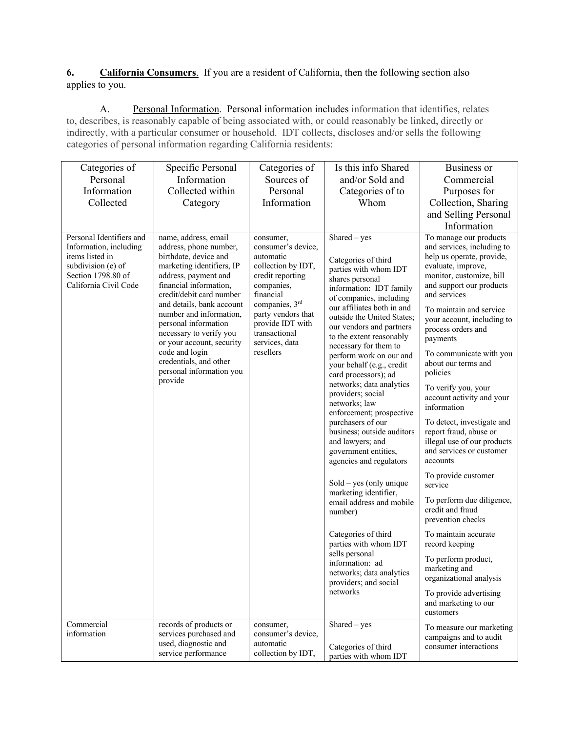## **6. California Consumers**. If you are a resident of California, then the following section also applies to you.

A. Personal Information. Personal information includes information that identifies, relates to, describes, is reasonably capable of being associated with, or could reasonably be linked, directly or indirectly, with a particular consumer or household. IDT collects, discloses and/or sells the following categories of personal information regarding California residents:

| Categories of                                                                                                                              | Specific Personal                                                                                                                                                                                                                                                                                                                                                                                             | Categories of                                                                                                                                                                                                                 | Is this info Shared                                                                                                                                                                                                                                                                                                                                                                                                                                                                                                                                                                                                                                                                                                                                                                                                                           | Business or                                                                                                                                                                                                                                                                                                                                                                                                                                                                                                                                                                                                                                                                                                                                                                                                                      |
|--------------------------------------------------------------------------------------------------------------------------------------------|---------------------------------------------------------------------------------------------------------------------------------------------------------------------------------------------------------------------------------------------------------------------------------------------------------------------------------------------------------------------------------------------------------------|-------------------------------------------------------------------------------------------------------------------------------------------------------------------------------------------------------------------------------|-----------------------------------------------------------------------------------------------------------------------------------------------------------------------------------------------------------------------------------------------------------------------------------------------------------------------------------------------------------------------------------------------------------------------------------------------------------------------------------------------------------------------------------------------------------------------------------------------------------------------------------------------------------------------------------------------------------------------------------------------------------------------------------------------------------------------------------------------|----------------------------------------------------------------------------------------------------------------------------------------------------------------------------------------------------------------------------------------------------------------------------------------------------------------------------------------------------------------------------------------------------------------------------------------------------------------------------------------------------------------------------------------------------------------------------------------------------------------------------------------------------------------------------------------------------------------------------------------------------------------------------------------------------------------------------------|
| Personal                                                                                                                                   | Information                                                                                                                                                                                                                                                                                                                                                                                                   | Sources of                                                                                                                                                                                                                    | and/or Sold and                                                                                                                                                                                                                                                                                                                                                                                                                                                                                                                                                                                                                                                                                                                                                                                                                               | Commercial                                                                                                                                                                                                                                                                                                                                                                                                                                                                                                                                                                                                                                                                                                                                                                                                                       |
| Information                                                                                                                                | Collected within                                                                                                                                                                                                                                                                                                                                                                                              | Personal                                                                                                                                                                                                                      | Categories of to                                                                                                                                                                                                                                                                                                                                                                                                                                                                                                                                                                                                                                                                                                                                                                                                                              | Purposes for                                                                                                                                                                                                                                                                                                                                                                                                                                                                                                                                                                                                                                                                                                                                                                                                                     |
| Collected                                                                                                                                  | Category                                                                                                                                                                                                                                                                                                                                                                                                      | Information                                                                                                                                                                                                                   | Whom                                                                                                                                                                                                                                                                                                                                                                                                                                                                                                                                                                                                                                                                                                                                                                                                                                          | Collection, Sharing                                                                                                                                                                                                                                                                                                                                                                                                                                                                                                                                                                                                                                                                                                                                                                                                              |
|                                                                                                                                            |                                                                                                                                                                                                                                                                                                                                                                                                               |                                                                                                                                                                                                                               |                                                                                                                                                                                                                                                                                                                                                                                                                                                                                                                                                                                                                                                                                                                                                                                                                                               | and Selling Personal                                                                                                                                                                                                                                                                                                                                                                                                                                                                                                                                                                                                                                                                                                                                                                                                             |
|                                                                                                                                            |                                                                                                                                                                                                                                                                                                                                                                                                               |                                                                                                                                                                                                                               |                                                                                                                                                                                                                                                                                                                                                                                                                                                                                                                                                                                                                                                                                                                                                                                                                                               |                                                                                                                                                                                                                                                                                                                                                                                                                                                                                                                                                                                                                                                                                                                                                                                                                                  |
| Personal Identifiers and<br>Information, including<br>items listed in<br>subdivision (e) of<br>Section 1798.80 of<br>California Civil Code | name, address, email<br>address, phone number,<br>birthdate, device and<br>marketing identifiers, IP<br>address, payment and<br>financial information,<br>credit/debit card number<br>and details, bank account<br>number and information,<br>personal information<br>necessary to verify you<br>or your account, security<br>code and login<br>credentials, and other<br>personal information you<br>provide | consumer,<br>consumer's device,<br>automatic<br>collection by IDT,<br>credit reporting<br>companies,<br>financial<br>companies, 3rd<br>party vendors that<br>provide IDT with<br>transactional<br>services, data<br>resellers | $Shared - yes$<br>Categories of third<br>parties with whom IDT<br>shares personal<br>information: IDT family<br>of companies, including<br>our affiliates both in and<br>outside the United States;<br>our vendors and partners<br>to the extent reasonably<br>necessary for them to<br>perform work on our and<br>your behalf (e.g., credit<br>card processors); ad<br>networks; data analytics<br>providers; social<br>networks; law<br>enforcement; prospective<br>purchasers of our<br>business; outside auditors<br>and lawyers; and<br>government entities,<br>agencies and regulators<br>Sold - yes (only unique<br>marketing identifier,<br>email address and mobile<br>number)<br>Categories of third<br>parties with whom IDT<br>sells personal<br>information: ad<br>networks; data analytics<br>providers; and social<br>networks | Information<br>To manage our products<br>and services, including to<br>help us operate, provide,<br>evaluate, improve,<br>monitor, customize, bill<br>and support our products<br>and services<br>To maintain and service<br>your account, including to<br>process orders and<br>payments<br>To communicate with you<br>about our terms and<br>policies<br>To verify you, your<br>account activity and your<br>information<br>To detect, investigate and<br>report fraud, abuse or<br>illegal use of our products<br>and services or customer<br>accounts<br>To provide customer<br>service<br>To perform due diligence,<br>credit and fraud<br>prevention checks<br>To maintain accurate<br>record keeping<br>To perform product,<br>marketing and<br>organizational analysis<br>To provide advertising<br>and marketing to our |
|                                                                                                                                            |                                                                                                                                                                                                                                                                                                                                                                                                               |                                                                                                                                                                                                                               |                                                                                                                                                                                                                                                                                                                                                                                                                                                                                                                                                                                                                                                                                                                                                                                                                                               | customers                                                                                                                                                                                                                                                                                                                                                                                                                                                                                                                                                                                                                                                                                                                                                                                                                        |
| Commercial<br>information                                                                                                                  | records of products or<br>services purchased and<br>used, diagnostic and<br>service performance                                                                                                                                                                                                                                                                                                               | consumer,<br>consumer's device,<br>automatic<br>collection by IDT,                                                                                                                                                            | Shared - yes<br>Categories of third<br>parties with whom IDT                                                                                                                                                                                                                                                                                                                                                                                                                                                                                                                                                                                                                                                                                                                                                                                  | To measure our marketing<br>campaigns and to audit<br>consumer interactions                                                                                                                                                                                                                                                                                                                                                                                                                                                                                                                                                                                                                                                                                                                                                      |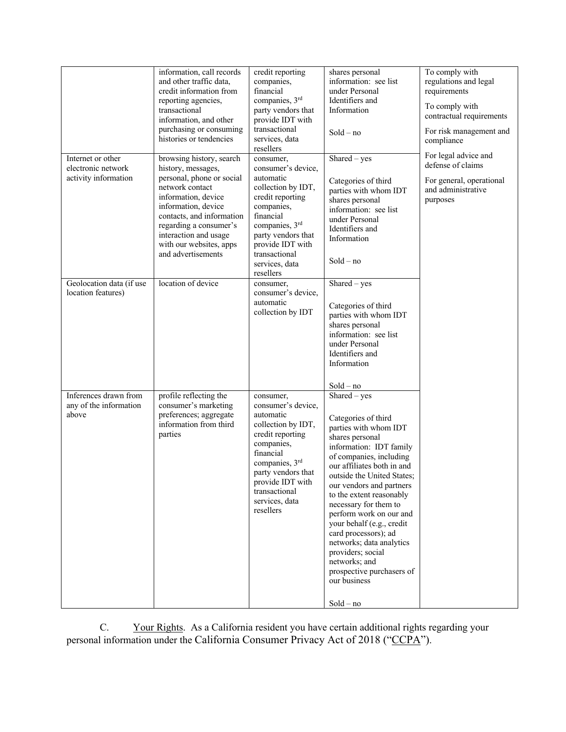|                                                                 | information, call records<br>and other traffic data,<br>credit information from<br>reporting agencies,<br>transactional<br>information, and other<br>purchasing or consuming<br>histories or tendencies                                                                       | credit reporting<br>companies,<br>financial<br>companies, 3rd<br>party vendors that<br>provide IDT with<br>transactional<br>services, data<br>resellers                                                                       | shares personal<br>information: see list<br>under Personal<br>Identifiers and<br>Information<br>$Sold - no$                                                                                                                                                                                                                                                                                                                                                                                        | To comply with<br>regulations and legal<br>requirements<br>To comply with<br>contractual requirements<br>For risk management and<br>compliance |
|-----------------------------------------------------------------|-------------------------------------------------------------------------------------------------------------------------------------------------------------------------------------------------------------------------------------------------------------------------------|-------------------------------------------------------------------------------------------------------------------------------------------------------------------------------------------------------------------------------|----------------------------------------------------------------------------------------------------------------------------------------------------------------------------------------------------------------------------------------------------------------------------------------------------------------------------------------------------------------------------------------------------------------------------------------------------------------------------------------------------|------------------------------------------------------------------------------------------------------------------------------------------------|
| Internet or other<br>electronic network<br>activity information | browsing history, search<br>history, messages,<br>personal, phone or social<br>network contact<br>information, device<br>information, device<br>contacts, and information<br>regarding a consumer's<br>interaction and usage<br>with our websites, apps<br>and advertisements | consumer,<br>consumer's device,<br>automatic<br>collection by IDT,<br>credit reporting<br>companies,<br>financial<br>companies, 3rd<br>party vendors that<br>provide IDT with<br>transactional<br>services, data<br>resellers | $\overline{\text{Shared}} - \text{yes}$<br>Categories of third<br>parties with whom IDT<br>shares personal<br>information: see list<br>under Personal<br>Identifiers and<br>Information<br>$Sold - no$                                                                                                                                                                                                                                                                                             | For legal advice and<br>defense of claims<br>For general, operational<br>and administrative<br>purposes                                        |
| Geolocation data (if use<br>location features)                  | location of device                                                                                                                                                                                                                                                            | consumer,<br>consumer's device,<br>automatic<br>collection by IDT                                                                                                                                                             | Shared - yes<br>Categories of third<br>parties with whom IDT<br>shares personal<br>information: see list<br>under Personal<br>Identifiers and<br>Information<br>$Sold - no$                                                                                                                                                                                                                                                                                                                        |                                                                                                                                                |
| Inferences drawn from<br>any of the information<br>above        | profile reflecting the<br>consumer's marketing<br>preferences; aggregate<br>information from third<br>parties                                                                                                                                                                 | consumer,<br>consumer's device,<br>automatic<br>collection by IDT,<br>credit reporting<br>companies,<br>financial<br>companies, 3rd<br>party vendors that<br>provide IDT with<br>transactional<br>services, data<br>resellers | $Shared - yes$<br>Categories of third<br>parties with whom IDT<br>shares personal<br>information: IDT family<br>of companies, including<br>our affiliates both in and<br>outside the United States;<br>our vendors and partners<br>to the extent reasonably<br>necessary for them to<br>perform work on our and<br>your behalf (e.g., credit<br>card processors); ad<br>networks; data analytics<br>providers; social<br>networks; and<br>prospective purchasers of<br>our business<br>$Sold - no$ |                                                                                                                                                |

C. Your Rights. As a California resident you have certain additional rights regarding your personal information under the California Consumer Privacy Act of 2018 ("CCPA").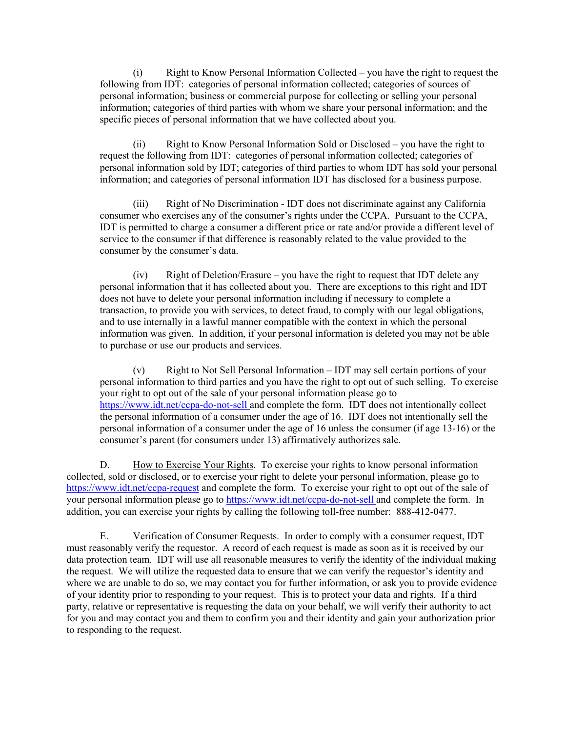(i) Right to Know Personal Information Collected – you have the right to request the following from IDT: categories of personal information collected; categories of sources of personal information; business or commercial purpose for collecting or selling your personal information; categories of third parties with whom we share your personal information; and the specific pieces of personal information that we have collected about you.

(ii) Right to Know Personal Information Sold or Disclosed – you have the right to request the following from IDT: categories of personal information collected; categories of personal information sold by IDT; categories of third parties to whom IDT has sold your personal information; and categories of personal information IDT has disclosed for a business purpose.

(iii) Right of No Discrimination - IDT does not discriminate against any California consumer who exercises any of the consumer's rights under the CCPA. Pursuant to the CCPA, IDT is permitted to charge a consumer a different price or rate and/or provide a different level of service to the consumer if that difference is reasonably related to the value provided to the consumer by the consumer's data.

(iv) Right of Deletion/Erasure – you have the right to request that IDT delete any personal information that it has collected about you. There are exceptions to this right and IDT does not have to delete your personal information including if necessary to complete a transaction, to provide you with services, to detect fraud, to comply with our legal obligations, and to use internally in a lawful manner compatible with the context in which the personal information was given. In addition, if your personal information is deleted you may not be able to purchase or use our products and services.

(v) Right to Not Sell Personal Information – IDT may sell certain portions of your personal information to third parties and you have the right to opt out of such selling. To exercise your right to opt out of the sale of your personal information please go to https://www.idt.net/ccpa-do-not-sell and complete the form. IDT does not intentionally collect the personal information of a consumer under the age of 16. IDT does not intentionally sell the personal information of a consumer under the age of 16 unless the consumer (if age 13-16) or the consumer's parent (for consumers under 13) affirmatively authorizes sale.

D. How to Exercise Your Rights. To exercise your rights to know personal information collected, sold or disclosed, or to exercise your right to delete your personal information, please go to https://www.idt.net/ccpa-request and complete the form. To exercise your right to opt out of the sale of your personal information please go to https://www.idt.net/ccpa-do-not-sell and complete the form. In addition, you can exercise your rights by calling the following toll-free number: 888-412-0477.

E. Verification of Consumer Requests. In order to comply with a consumer request, IDT must reasonably verify the requestor. A record of each request is made as soon as it is received by our data protection team. IDT will use all reasonable measures to verify the identity of the individual making the request. We will utilize the requested data to ensure that we can verify the requestor's identity and where we are unable to do so, we may contact you for further information, or ask you to provide evidence of your identity prior to responding to your request. This is to protect your data and rights. If a third party, relative or representative is requesting the data on your behalf, we will verify their authority to act for you and may contact you and them to confirm you and their identity and gain your authorization prior to responding to the request.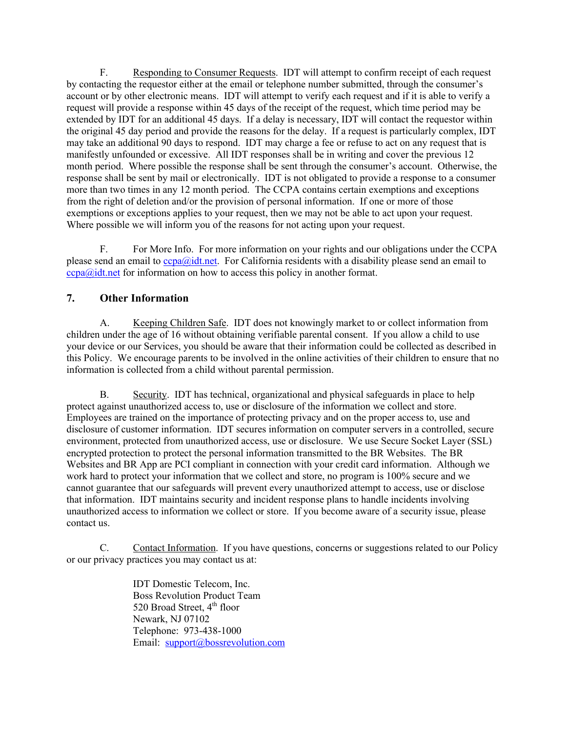F. Responding to Consumer Requests. IDT will attempt to confirm receipt of each request by contacting the requestor either at the email or telephone number submitted, through the consumer's account or by other electronic means. IDT will attempt to verify each request and if it is able to verify a request will provide a response within 45 days of the receipt of the request, which time period may be extended by IDT for an additional 45 days. If a delay is necessary, IDT will contact the requestor within the original 45 day period and provide the reasons for the delay. If a request is particularly complex, IDT may take an additional 90 days to respond. IDT may charge a fee or refuse to act on any request that is manifestly unfounded or excessive. All IDT responses shall be in writing and cover the previous 12 month period. Where possible the response shall be sent through the consumer's account. Otherwise, the response shall be sent by mail or electronically. IDT is not obligated to provide a response to a consumer more than two times in any 12 month period. The CCPA contains certain exemptions and exceptions from the right of deletion and/or the provision of personal information. If one or more of those exemptions or exceptions applies to your request, then we may not be able to act upon your request. Where possible we will inform you of the reasons for not acting upon your request.

F. For More Info. For more information on your rights and our obligations under the CCPA please send an email to ccpa@idt.net. For California residents with a disability please send an email to  $ccpa@idt.net$  for information on how to access this policy in another format.

#### **7. Other Information**

A. Keeping Children Safe. IDT does not knowingly market to or collect information from children under the age of 16 without obtaining verifiable parental consent. If you allow a child to use your device or our Services, you should be aware that their information could be collected as described in this Policy. We encourage parents to be involved in the online activities of their children to ensure that no information is collected from a child without parental permission.

B. Security. IDT has technical, organizational and physical safeguards in place to help protect against unauthorized access to, use or disclosure of the information we collect and store. Employees are trained on the importance of protecting privacy and on the proper access to, use and disclosure of customer information. IDT secures information on computer servers in a controlled, secure environment, protected from unauthorized access, use or disclosure. We use Secure Socket Layer (SSL) encrypted protection to protect the personal information transmitted to the BR Websites. The BR Websites and BR App are PCI compliant in connection with your credit card information. Although we work hard to protect your information that we collect and store, no program is 100% secure and we cannot guarantee that our safeguards will prevent every unauthorized attempt to access, use or disclose that information. IDT maintains security and incident response plans to handle incidents involving unauthorized access to information we collect or store. If you become aware of a security issue, please contact us.

C. Contact Information. If you have questions, concerns or suggestions related to our Policy or our privacy practices you may contact us at:

> IDT Domestic Telecom, Inc. Boss Revolution Product Team 520 Broad Street, 4<sup>th</sup> floor Newark, NJ 07102 Telephone: 973-438-1000 Email: support@bossrevolution.com